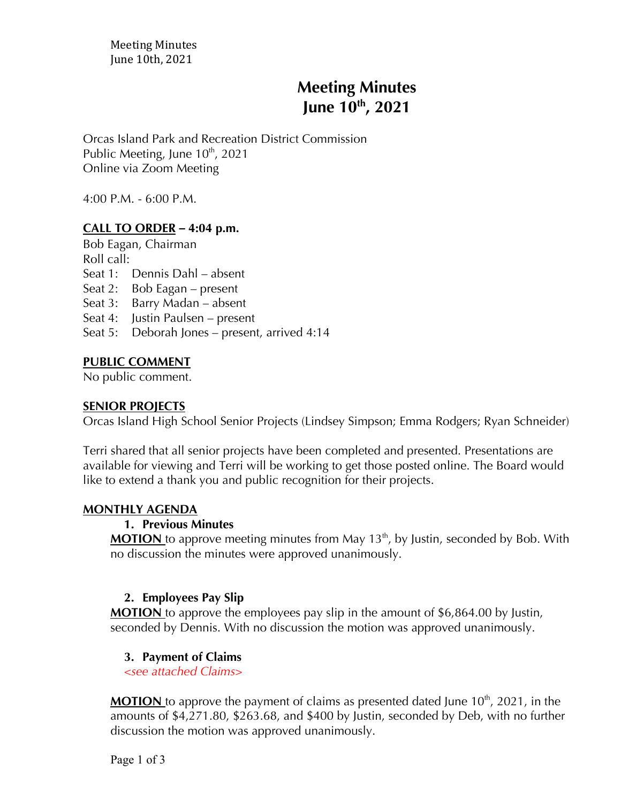Meeting Minutes June 10th, 2021

# **Meeting Minutes June 10th , 2021**

Orcas Island Park and Recreation District Commission Public Meeting, June  $10^{th}$ , 2021 Online via Zoom Meeting

4:00 P.M. - 6:00 P.M.

## **CALL TO ORDER** *–* **4:04 p.m.**

Bob Eagan, Chairman

Roll call:

Seat 1: Dennis Dahl – absent

Seat 2: Bob Eagan – present

Seat 3: Barry Madan – absent

Seat 4: Justin Paulsen – present

Seat 5: Deborah Jones – present, arrived 4:14

## **PUBLIC COMMENT**

No public comment.

#### **SENIOR PROJECTS**

Orcas Island High School Senior Projects (Lindsey Simpson; Emma Rodgers; Ryan Schneider)

Terri shared that all senior projects have been completed and presented. Presentations are available for viewing and Terri will be working to get those posted online. The Board would like to extend a thank you and public recognition for their projects.

#### **MONTHLY AGENDA**

## **1. Previous Minutes**

**MOTION** to approve meeting minutes from May 13<sup>th</sup>, by Justin, seconded by Bob. With no discussion the minutes were approved unanimously.

## **2. Employees Pay Slip**

**MOTION** to approve the employees pay slip in the amount of \$6,864.00 by Justin, seconded by Dennis. With no discussion the motion was approved unanimously.

#### **3. Payment of Claims**

*<see attached Claims>*

**MOTION** to approve the payment of claims as presented dated June 10<sup>th</sup>, 2021, in the amounts of \$4,271.80, \$263.68, and \$400 by Justin, seconded by Deb, with no further discussion the motion was approved unanimously.

Page 1 of 3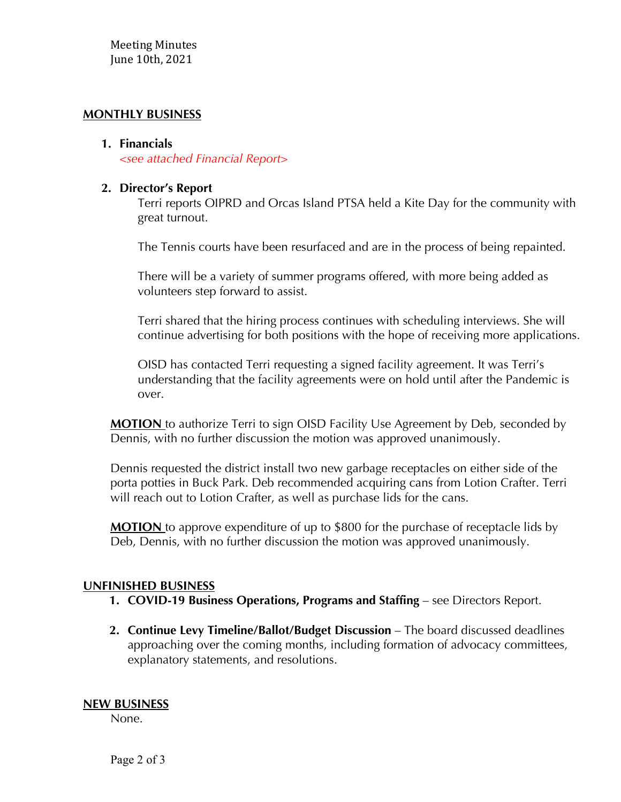## **MONTHLY BUSINESS**

#### **1. Financials**

*<see attached Financial Report>*

### **2. Director's Report**

Terri reports OIPRD and Orcas Island PTSA held a Kite Day for the community with great turnout.

The Tennis courts have been resurfaced and are in the process of being repainted.

There will be a variety of summer programs offered, with more being added as volunteers step forward to assist.

Terri shared that the hiring process continues with scheduling interviews. She will continue advertising for both positions with the hope of receiving more applications.

OISD has contacted Terri requesting a signed facility agreement. It was Terri's understanding that the facility agreements were on hold until after the Pandemic is over.

**MOTION** to authorize Terri to sign OISD Facility Use Agreement by Deb, seconded by Dennis, with no further discussion the motion was approved unanimously.

Dennis requested the district install two new garbage receptacles on either side of the porta potties in Buck Park. Deb recommended acquiring cans from Lotion Crafter. Terri will reach out to Lotion Crafter, as well as purchase lids for the cans.

**MOTION** to approve expenditure of up to \$800 for the purchase of receptacle lids by Deb, Dennis, with no further discussion the motion was approved unanimously.

#### **UNFINISHED BUSINESS**

- **1. COVID-19 Business Operations, Programs and Staffing see Directors Report.**
- **2. Continue Levy Timeline/Ballot/Budget Discussion** The board discussed deadlines approaching over the coming months, including formation of advocacy committees, explanatory statements, and resolutions.

#### **NEW BUSINESS**

None.